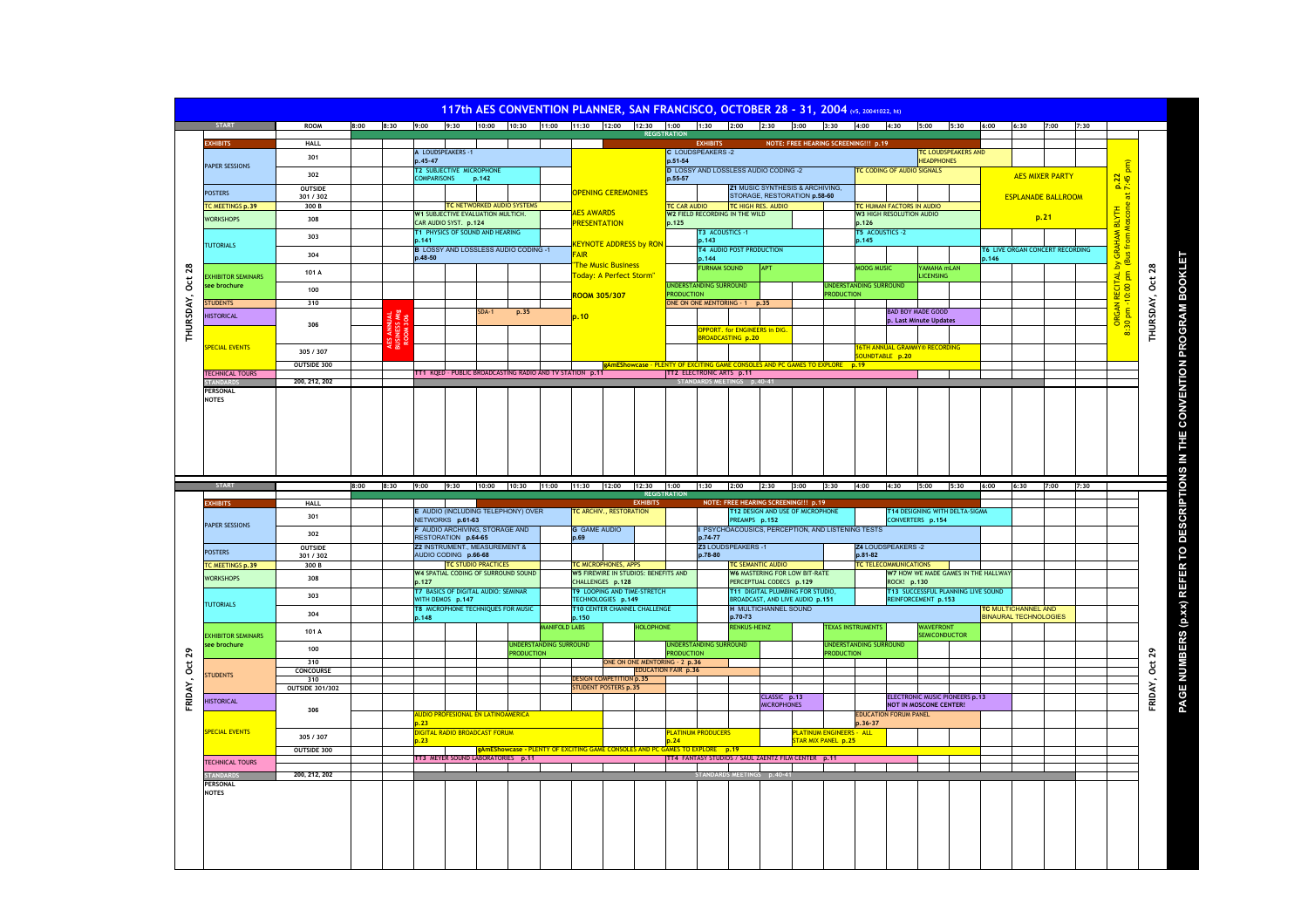## **117th AFS CONVENTION PLANNER, SAN FRANCISCO, OCTOBER 28 - 31, 2004**

|                  | <b>START</b>                    | <b>ROOM</b>                                     |                              |         |                                                                |         |                                            |                               | 8:00  8:30  9:00  9:30  10:00  10:30  11:00  11:30  12:00  12:30  1:00  1:30  2:00  2:30  3:00  3:30  4:00  4:30  5:00  5:30  6:00 | <b>REGISTRATION</b>                                                            |                                                                              |                                                                 |      |                                             |                                      |                          |                        |                                       |       | 6:30 7:00                                                  |                                 | 7:30                                 |                               |                  |
|------------------|---------------------------------|-------------------------------------------------|------------------------------|---------|----------------------------------------------------------------|---------|--------------------------------------------|-------------------------------|------------------------------------------------------------------------------------------------------------------------------------|--------------------------------------------------------------------------------|------------------------------------------------------------------------------|-----------------------------------------------------------------|------|---------------------------------------------|--------------------------------------|--------------------------|------------------------|---------------------------------------|-------|------------------------------------------------------------|---------------------------------|--------------------------------------|-------------------------------|------------------|
|                  | <b>EXHIBITS</b>                 | HALL                                            |                              |         |                                                                |         |                                            |                               |                                                                                                                                    |                                                                                | <b>EXHIBITS</b>                                                              |                                                                 |      | NOTE: FREE HEARING SCREENING !!! p.19       |                                      |                          |                        |                                       |       |                                                            |                                 |                                      |                               |                  |
|                  |                                 | 301                                             | A LOUDSPEAKERS -1<br>p.45-47 |         |                                                                |         |                                            |                               |                                                                                                                                    | <b>C LOUDSPEAKERS-2</b><br>TC LOUDSPEAKERS AND<br><b>HEADPHONES</b><br>p.51-54 |                                                                              |                                                                 |      |                                             |                                      |                          |                        |                                       |       |                                                            |                                 |                                      |                               |                  |
|                  | PAPER SESSIONS                  |                                                 |                              |         | T2 SUBJECTIVE MICROPHONE                                       |         |                                            |                               |                                                                                                                                    |                                                                                | D LOSSY AND LOSSLESS AUDIO CODING -2                                         |                                                                 |      |                                             | TC CODING OF AUDIO SIGNALS           |                          |                        |                                       |       |                                                            |                                 |                                      | $\boxed{\overline{\text{m}}}$ |                  |
|                  |                                 | 302                                             |                              |         | <b>COMPARISONS</b>                                             | p.142   |                                            |                               | p.55-57                                                                                                                            |                                                                                |                                                                              |                                                                 |      |                                             |                                      |                          |                        |                                       |       |                                                            | <b>AES MIXER PARTY</b>          |                                      | p.22<br>at 7:45 p             |                  |
|                  | <b>POSTERS</b>                  | OUTSIDE<br>301 / 302                            |                              |         |                                                                |         |                                            |                               | <b>OPENING CEREMONIES</b>                                                                                                          |                                                                                |                                                                              | Z1 MUSIC SYNTHESIS & ARCHIVING,<br>STORAGE, RESTORATION p.58-60 |      |                                             |                                      |                          |                        |                                       |       |                                                            | <b>ESPLANADE BALLROOM</b>       |                                      |                               |                  |
|                  | <b>C MEETINGS p.39</b>          | 300 B                                           |                              |         |                                                                |         | TC NETWORKED AUDIO SYSTEMS                 |                               |                                                                                                                                    |                                                                                | <b>TC CAR AUDIO</b>                                                          | TC HIGH RES. AUDIO                                              |      |                                             | TC HUMAN FACTORS IN AUDIO            |                          |                        |                                       |       |                                                            |                                 |                                      |                               |                  |
|                  | <b>VORKSHOPS</b>                | 308                                             |                              |         | W1 SUBJECTIVE EVALUATION MULTICH.                              |         |                                            | <b>AES AWARDS</b>             |                                                                                                                                    |                                                                                | W2 FIELD RECORDING IN THE WILD                                               |                                                                 |      |                                             | <b>W3 HIGH RESOLUTION AUDIO</b>      |                          |                        |                                       |       | p.21                                                       |                                 |                                      |                               |                  |
|                  |                                 |                                                 | CAR AUDIO SYST. p.124        |         |                                                                |         |                                            | <b>PRESENTATION</b>           |                                                                                                                                    | p.125                                                                          | T3 ACOUSTICS -1                                                              |                                                                 |      |                                             | p.126<br>T5 ACOUSTICS -2             |                          |                        |                                       |       |                                                            |                                 |                                      |                               |                  |
|                  | <b>TUTORIALS</b>                | T1 PHYSICS OF SOUND AND HEARING<br>303<br>n.141 |                              |         |                                                                |         |                                            | <b>KEYNOTE ADDRESS by RON</b> |                                                                                                                                    | p.143                                                                          |                                                                              |                                                                 |      | p.145                                       |                                      |                          |                        |                                       |       |                                                            |                                 | by GRAHAM BLYTH<br>(Bus from Moscone |                               |                  |
|                  |                                 | 304                                             |                              |         | <b>B</b> LOSSY AND LOSSLESS AUDIO CODING -1                    |         |                                            | <b>FAIR</b>                   |                                                                                                                                    |                                                                                | T4 AUDIO POST PRODUCTION                                                     |                                                                 |      |                                             |                                      |                          |                        |                                       |       |                                                            | T6 LIVE ORGAN CONCERT RECORDING |                                      |                               |                  |
|                  |                                 |                                                 |                              |         | p.48-50                                                        |         |                                            |                               | <b>The Music Business</b>                                                                                                          |                                                                                | p.144<br><b>URNAM SOUND</b>                                                  | APT                                                             |      |                                             | <b>MOOG MUSIC</b>                    |                          | YAMAHA mLAN            |                                       | p.146 |                                                            |                                 |                                      |                               |                  |
|                  | <b>EXHIBITOR SEMINARS</b>       | 101 A                                           |                              |         |                                                                |         |                                            |                               | <mark>Foday: A Perfect Storm"</mark>                                                                                               |                                                                                |                                                                              |                                                                 |      |                                             |                                      |                          | <b>LICENSING</b>       |                                       |       |                                                            |                                 |                                      | CITAL I                       |                  |
|                  | ee brochure                     | 100                                             |                              |         |                                                                |         |                                            |                               |                                                                                                                                    |                                                                                | UNDERSTANDING SURROUND                                                       |                                                                 |      | <b>UNDERSTANDING SURROUND</b>               |                                      |                          |                        |                                       |       |                                                            |                                 |                                      | 0:00                          |                  |
|                  | <b>TUDENTS</b>                  | 310                                             |                              |         |                                                                |         |                                            |                               | ROOM 305/307                                                                                                                       | <b>PRODUCTION</b>                                                              | ONE ON ONE MENTORING - 1 p.35                                                |                                                                 |      | <b>PRODUCTION</b>                           |                                      |                          |                        |                                       |       |                                                            |                                 |                                      |                               |                  |
| THURSDAY, Oct 28 | <b>HISTORICAL</b>               |                                                 |                              | ટ ફ્ર   |                                                                | $SDA-1$ | p.35                                       | p.10                          |                                                                                                                                    |                                                                                |                                                                              |                                                                 |      |                                             |                                      | <b>BAD BOY MADE GOOD</b> |                        |                                       |       |                                                            |                                 |                                      | <b>RGAN</b>                   | THURSDAY, Oct 28 |
|                  |                                 | 306                                             |                              |         |                                                                |         |                                            |                               |                                                                                                                                    |                                                                                | <b>PPORT.</b> for ENGINEERS in DIG.                                          |                                                                 |      |                                             |                                      |                          | p. Last Minute Updates |                                       |       |                                                            |                                 |                                      | 8.30                          |                  |
|                  |                                 |                                                 |                              |         |                                                                |         |                                            |                               |                                                                                                                                    |                                                                                | ROADCASTING p.20                                                             |                                                                 |      |                                             |                                      |                          |                        |                                       |       |                                                            |                                 |                                      |                               |                  |
|                  | <b>SPECIAL EVENTS</b>           | 305/307                                         |                              | ម្ព័ន្ឋ |                                                                |         |                                            |                               |                                                                                                                                    |                                                                                |                                                                              |                                                                 |      |                                             | <b>16TH ANNUAL GRAMMY® RECORDING</b> |                          |                        |                                       |       |                                                            |                                 |                                      |                               |                  |
|                  |                                 | OUTSIDE 300                                     |                              |         |                                                                |         |                                            |                               |                                                                                                                                    |                                                                                | gAmEShowcase - PLENTY OF EXCITING GAME CONSOLES AND PC GAMES TO EXPLORE p.19 |                                                                 |      |                                             | OUNDTABLE p.20                       |                          |                        |                                       |       |                                                            |                                 |                                      |                               |                  |
|                  | <b>FECHNICAL TOURS</b>          |                                                 |                              |         | TT1 KQED - PUBLIC BROADCASTING RADIO AND TV STATION p.11       |         |                                            |                               |                                                                                                                                    |                                                                                | TT2 ELECTRONIC ARTS p.11                                                     |                                                                 |      |                                             |                                      |                          |                        |                                       |       |                                                            |                                 |                                      |                               |                  |
|                  | <b>TANDAR</b>                   | 200, 212, 202                                   |                              |         |                                                                |         |                                            |                               |                                                                                                                                    |                                                                                | STANDARDS MEETINGS p.40-                                                     |                                                                 |      |                                             |                                      |                          |                        |                                       |       |                                                            |                                 |                                      |                               |                  |
|                  | <b>PERSONAL</b><br><b>NOTES</b> |                                                 |                              |         |                                                                |         |                                            |                               |                                                                                                                                    |                                                                                |                                                                              |                                                                 |      |                                             |                                      |                          |                        |                                       |       |                                                            |                                 |                                      |                               |                  |
|                  |                                 |                                                 |                              |         |                                                                |         |                                            |                               |                                                                                                                                    |                                                                                |                                                                              |                                                                 |      |                                             |                                      |                          |                        |                                       |       |                                                            |                                 |                                      |                               |                  |
|                  |                                 |                                                 |                              |         |                                                                |         |                                            |                               |                                                                                                                                    |                                                                                |                                                                              |                                                                 |      |                                             |                                      |                          |                        |                                       |       |                                                            |                                 |                                      |                               |                  |
|                  |                                 |                                                 |                              |         |                                                                |         |                                            |                               |                                                                                                                                    |                                                                                |                                                                              |                                                                 |      |                                             |                                      |                          |                        |                                       |       |                                                            |                                 |                                      |                               |                  |
|                  |                                 |                                                 |                              |         |                                                                |         |                                            |                               |                                                                                                                                    |                                                                                |                                                                              |                                                                 |      |                                             |                                      |                          |                        |                                       |       |                                                            |                                 |                                      |                               |                  |
|                  |                                 |                                                 |                              |         |                                                                |         |                                            |                               |                                                                                                                                    |                                                                                |                                                                              |                                                                 |      |                                             |                                      |                          |                        |                                       |       |                                                            |                                 |                                      |                               |                  |
|                  |                                 |                                                 |                              |         |                                                                |         |                                            |                               |                                                                                                                                    |                                                                                |                                                                              |                                                                 |      |                                             |                                      |                          |                        |                                       |       |                                                            |                                 |                                      |                               |                  |
|                  | <b>START</b>                    |                                                 | 8:00                         | 8:30    | 9:00<br>9:30                                                   |         |                                            |                               |                                                                                                                                    |                                                                                |                                                                              |                                                                 |      |                                             |                                      |                          |                        |                                       |       |                                                            |                                 |                                      |                               |                  |
|                  |                                 |                                                 |                              |         |                                                                |         |                                            |                               |                                                                                                                                    |                                                                                | 1:30                                                                         |                                                                 |      |                                             |                                      |                          |                        |                                       | 6:00  | 6:30                                                       | 7:00                            | 7:30                                 |                               |                  |
|                  | <b>EXHIBITS</b>                 |                                                 |                              |         |                                                                | 10:00   | 10:30 11:00                                | 11:30 12:00                   | 12:30                                                                                                                              | 1:00<br><b>REGISTRATION</b>                                                    | 2:00                                                                         | 2:30                                                            | 3:00 | 3:30                                        | 4:00                                 | 4:30                     | 5:00                   | 5:30                                  |       |                                                            |                                 |                                      |                               |                  |
|                  |                                 | <b>HALL</b>                                     |                              |         |                                                                |         |                                            |                               | <b>EXHIBITS</b>                                                                                                                    |                                                                                | NOTE: FREE HEARING SCREENING !!! p.19                                        |                                                                 |      |                                             |                                      |                          |                        |                                       |       |                                                            |                                 |                                      |                               |                  |
|                  |                                 | 301                                             |                              |         | E AUDIO (INCLUDING TELEPHONY) OVER<br>NETWORKS p.61-63         |         |                                            |                               | TC ARCHIV., RESTORATION                                                                                                            |                                                                                | PREAMPS p.152                                                                | T12 DESIGN AND USE OF MICROPHONE                                |      |                                             |                                      | CONVERTERS p.154         |                        | T14 DESIGNING WITH DELTA-SIGMA        |       |                                                            |                                 |                                      |                               |                  |
|                  | PAPER SESSIONS                  | 302                                             |                              |         | F AUDIO ARCHIVING, STORAGE AND                                 |         |                                            | <b>G</b> GAME AUDIO           |                                                                                                                                    |                                                                                | PSYCHOACOUSICS, PERCEPTION, AND LISTENING TESTS                              |                                                                 |      |                                             |                                      |                          |                        |                                       |       |                                                            |                                 |                                      |                               |                  |
|                  |                                 |                                                 |                              |         | RESTORATION p.64-65                                            |         |                                            | p.69                          |                                                                                                                                    |                                                                                | p.74-77                                                                      |                                                                 |      |                                             |                                      |                          |                        |                                       |       |                                                            |                                 |                                      |                               |                  |
|                  | <b>POSTERS</b>                  | OUTSIDE<br>301 / 302                            |                              |         | <b>Z2 INSTRUMENT MEASUREMENT &amp;</b><br>AUDIO CODING p.66-68 |         |                                            |                               |                                                                                                                                    |                                                                                | Z3 LOUDSPEAKERS -1<br>p.78-80                                                |                                                                 |      |                                             | <b>Z4 LOUDSPEAKERS -2</b><br>p.81-82 |                          |                        |                                       |       |                                                            |                                 |                                      |                               |                  |
|                  | C MEETINGS p.39                 | 300 B                                           |                              |         | <b>TC STUDIO PRACTICES</b>                                     |         |                                            |                               | <b>TC MICROPHONES, APPS</b>                                                                                                        |                                                                                |                                                                              | TC SEMANTIC AUDIO                                               |      |                                             | <b>TC TELECOMMUNICATIONS</b>         |                          |                        |                                       |       |                                                            |                                 |                                      |                               |                  |
|                  | <b>NORKSHOPS</b>                | 308                                             |                              |         | W4 SPATIAL CODING OF SURROUND SOUND<br>p.127                   |         |                                            |                               | W5 FIREWIRE IN STUDIOS: BENEFITS AND<br>CHALLENGES p.128                                                                           |                                                                                |                                                                              | W6 MASTERING FOR LOW BIT-RATE<br>PERCEPTUAL CODECS p.129        |      |                                             |                                      | ROCK! p.130              |                        | W7 HOW WE MADE GAMES IN THE HALLWAY   |       |                                                            |                                 |                                      |                               |                  |
|                  |                                 |                                                 |                              |         | T7 BASICS OF DIGITAL AUDIO: SEMINAR                            |         |                                            |                               | T9 LOOPING AND TIME-STRETCH                                                                                                        |                                                                                |                                                                              | T11 DIGITAL PLUMBING FOR STUDIO,                                |      |                                             |                                      |                          |                        | T13 SUCCESSFUL PLANNING LIVE SOUND    |       |                                                            |                                 |                                      |                               |                  |
|                  | <b>TUTORIALS</b>                | 303                                             |                              |         | WITH DEMOS p.147                                               |         |                                            |                               | TECHNOLOGIES p.149                                                                                                                 |                                                                                |                                                                              | BROADCAST, AND LIVE AUDIO p.151                                 |      |                                             |                                      |                          | REINFORCEMENT p.153    |                                       |       |                                                            |                                 |                                      |                               |                  |
|                  |                                 | 304                                             |                              |         | T8 MICROPHONE TECHNIQUES FOR MUSIC<br>p.148                    |         |                                            | p.150                         | <b>T10 CENTER CHANNEL CHALLENGE</b>                                                                                                |                                                                                | p.70-73                                                                      | <b>H MULTICHANNEL SOUND</b>                                     |      |                                             |                                      |                          |                        |                                       |       | <b>TC MULTICHANNEL AND</b><br><b>BINAURAL TECHNOLOGIES</b> |                                 |                                      |                               |                  |
|                  |                                 |                                                 |                              |         |                                                                |         |                                            | <b>MANIFOLD LABS</b>          | <b>HOLOPHONE</b>                                                                                                                   |                                                                                | <b>RENKUS-HEINZ</b>                                                          |                                                                 |      | <b>TEXAS INSTRUMENTS</b>                    |                                      |                          | <b>WAVEFRONT</b>       |                                       |       |                                                            |                                 |                                      |                               |                  |
|                  | <b>EXHIBITOR SEMINARS</b>       | 101 A                                           |                              |         |                                                                |         |                                            |                               |                                                                                                                                    |                                                                                |                                                                              |                                                                 |      |                                             |                                      |                          | <b>SEMICONDUCTOR</b>   |                                       |       |                                                            |                                 |                                      |                               |                  |
|                  | ee brochure                     | 100                                             |                              |         |                                                                |         | UNDERSTANDING SURROUND<br><b>RODUCTION</b> |                               |                                                                                                                                    | <b>PRODUCTION</b>                                                              | UNDERSTANDING SURROUND                                                       |                                                                 |      | UNDERSTANDING SURROUND<br><b>PRODUCTION</b> |                                      |                          |                        |                                       |       |                                                            |                                 |                                      |                               |                  |
|                  |                                 | 310                                             |                              |         |                                                                |         |                                            |                               | ONE ON ONE MENTORING - 2 p.36                                                                                                      |                                                                                |                                                                              |                                                                 |      |                                             |                                      |                          |                        |                                       |       |                                                            |                                 |                                      |                               |                  |
|                  | <b>STUDENTS</b>                 | <b>CONCOURSE</b>                                |                              |         |                                                                |         |                                            |                               |                                                                                                                                    | <b>EDUCATION FAIR p.36</b>                                                     |                                                                              |                                                                 |      |                                             |                                      |                          |                        |                                       |       |                                                            |                                 |                                      |                               |                  |
|                  |                                 | 310<br><b>OUTSIDE 301/302</b>                   |                              |         |                                                                |         |                                            |                               | <b>DESIGN COMPETITION p.35</b><br><b>STUDENT POSTERS p.35</b>                                                                      |                                                                                |                                                                              |                                                                 |      |                                             |                                      |                          |                        |                                       |       |                                                            |                                 |                                      |                               |                  |
|                  | <b>ISTORICAL</b>                |                                                 |                              |         |                                                                |         |                                            |                               |                                                                                                                                    |                                                                                |                                                                              | CLASSIC p.13                                                    |      |                                             |                                      |                          |                        | <b>ELECTRONIC MUSIC PIONEERS p.13</b> |       |                                                            |                                 |                                      |                               |                  |
| FRIDAY, Oct 29   |                                 | 306                                             |                              |         |                                                                |         |                                            |                               |                                                                                                                                    |                                                                                |                                                                              | <b>MICROPHONES</b>                                              |      |                                             | <b>EDUCATION FORUM PANEL</b>         | NOT IN MOSCONE CENTER!   |                        |                                       |       |                                                            |                                 |                                      |                               | FRIDAY, Oct 29   |
|                  |                                 |                                                 |                              |         | AUDIO PROFESIONAL EN LATINOAMERICA<br>.23                      |         |                                            |                               |                                                                                                                                    |                                                                                |                                                                              |                                                                 |      |                                             | $.36 - 37$                           |                          |                        |                                       |       |                                                            |                                 |                                      |                               |                  |
|                  | <b>SPECIAL EVENTS</b>           | 305 / 307                                       |                              |         | <b>IGITAL RADIO BROADCAST FORUM</b>                            |         |                                            |                               |                                                                                                                                    |                                                                                | <b>PLATINUM PRODUCERS</b>                                                    |                                                                 |      | <b>PLATINUM ENGINEERS - ALL</b>             |                                      |                          |                        |                                       |       |                                                            |                                 |                                      |                               |                  |
|                  |                                 | OUTSIDE 300                                     |                              |         | 0.23                                                           |         |                                            |                               | gAmEShowcase - PLENTY OF EXCITING GAME CONSOLES AND PC GAMES TO EXPLORE p.19                                                       | n.24                                                                           |                                                                              |                                                                 |      | <b>STAR MIX PANEL p.25</b>                  |                                      |                          |                        |                                       |       |                                                            |                                 |                                      |                               |                  |
|                  |                                 |                                                 |                              |         | TT3 MEYER SOUND LABORATORIES p.11                              |         |                                            |                               |                                                                                                                                    |                                                                                | TT4 FANTASY STUDIOS / SAUL ZAENTZ FILM CENTER p.11                           |                                                                 |      |                                             |                                      |                          |                        |                                       |       |                                                            |                                 |                                      |                               |                  |
|                  | <b>TECHNICAL TOURS</b>          |                                                 |                              |         |                                                                |         |                                            |                               |                                                                                                                                    |                                                                                |                                                                              |                                                                 |      |                                             |                                      |                          |                        |                                       |       |                                                            |                                 |                                      |                               |                  |
|                  | <b>PERSONAL</b>                 | 200, 212, 202                                   |                              |         |                                                                |         |                                            |                               |                                                                                                                                    |                                                                                | <b>DARDS MEETINGS</b>                                                        |                                                                 |      |                                             |                                      |                          |                        |                                       |       |                                                            |                                 |                                      |                               |                  |
|                  | <b>NOTES</b>                    |                                                 |                              |         |                                                                |         |                                            |                               |                                                                                                                                    |                                                                                |                                                                              |                                                                 |      |                                             |                                      |                          |                        |                                       |       |                                                            |                                 |                                      |                               |                  |
|                  |                                 |                                                 |                              |         |                                                                |         |                                            |                               |                                                                                                                                    |                                                                                |                                                                              |                                                                 |      |                                             |                                      |                          |                        |                                       |       |                                                            |                                 |                                      |                               |                  |

PAGE NUMBERS (p.xx) REFER TO DESCRIPTIONS IN THE CONVENTION PROGRAM BOOKLET **PAGE NUMBERS (p.xx) REFER TO DESCRIPTIONS IN THE CONVENTION PROGRAM BOOKLET**